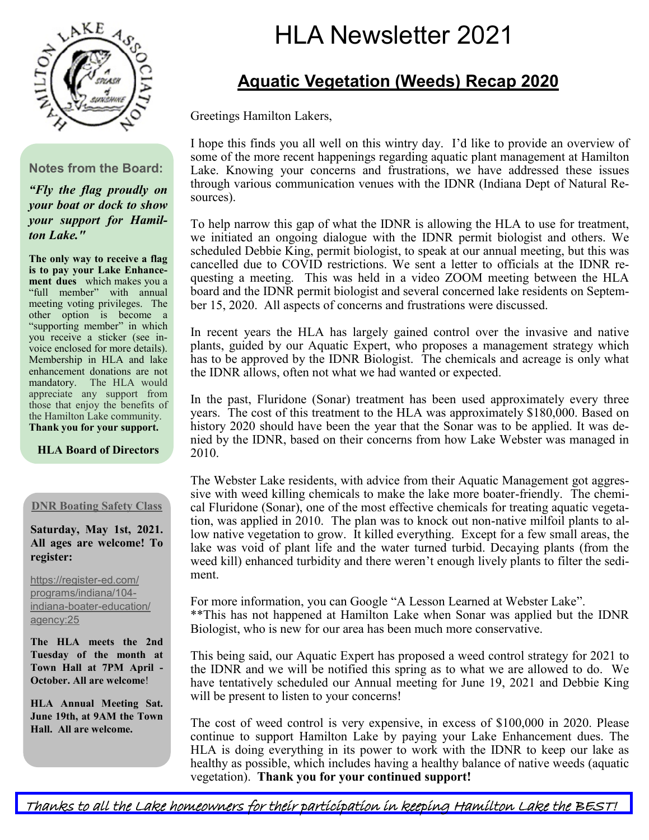

#### **Notes from the Board:**

*"Fly the flag proudly on your boat or dock to show your support for Hamilton Lake."*

**The only way to receive a flag is to pay your Lake Enhancement dues** which makes you a "full member" with annual meeting voting privileges. The other option is become a "supporting member" in which you receive a sticker (see invoice enclosed for more details). Membership in HLA and lake enhancement donations are not mandatory. The HLA would appreciate any support from those that enjoy the benefits of the Hamilton Lake community. **Thank you for your support.**

#### **HLA Board of Directors**

#### **DNR Boating Safety Class**

**Saturday, May 1st, 2021. All ages are welcome! To register:**

[https://register](https://register-ed.com/programs/indiana/104-indiana-boater-education/agency:25?fbclid=IwAR1Syfy3jlKQnH8CSmGNxtnNHL-JXT2xREMcmioc4HPhZq9iHca_jbK-45I)-ed.com/ [programs/indiana/104](https://register-ed.com/programs/indiana/104-indiana-boater-education/agency:25?fbclid=IwAR1Syfy3jlKQnH8CSmGNxtnNHL-JXT2xREMcmioc4HPhZq9iHca_jbK-45I) indiana-boater-[education/](https://register-ed.com/programs/indiana/104-indiana-boater-education/agency:25?fbclid=IwAR1Syfy3jlKQnH8CSmGNxtnNHL-JXT2xREMcmioc4HPhZq9iHca_jbK-45I) [agency:25](https://register-ed.com/programs/indiana/104-indiana-boater-education/agency:25?fbclid=IwAR1Syfy3jlKQnH8CSmGNxtnNHL-JXT2xREMcmioc4HPhZq9iHca_jbK-45I)

**The HLA meets the 2nd Tuesday of the month at Town Hall at 7PM April - October. All are welcome**!

**HLA Annual Meeting Sat. June 19th, at 9AM the Town Hall. All are welcome.**

# HLA Newsletter 2021

# **Aquatic Vegetation (Weeds) Recap 2020**

Greetings Hamilton Lakers,

I hope this finds you all well on this wintry day. I'd like to provide an overview of some of the more recent happenings regarding aquatic plant management at Hamilton Lake. Knowing your concerns and frustrations, we have addressed these issues through various communication venues with the IDNR (Indiana Dept of Natural Resources).

To help narrow this gap of what the IDNR is allowing the HLA to use for treatment, we initiated an ongoing dialogue with the IDNR permit biologist and others. We scheduled Debbie King, permit biologist, to speak at our annual meeting, but this was cancelled due to COVID restrictions. We sent a letter to officials at the IDNR requesting a meeting. This was held in a video ZOOM meeting between the HLA board and the IDNR permit biologist and several concerned lake residents on September 15, 2020. All aspects of concerns and frustrations were discussed.

In recent years the HLA has largely gained control over the invasive and native plants, guided by our Aquatic Expert, who proposes a management strategy which has to be approved by the IDNR Biologist. The chemicals and acreage is only what the IDNR allows, often not what we had wanted or expected.

In the past, Fluridone (Sonar) treatment has been used approximately every three years. The cost of this treatment to the HLA was approximately \$180,000. Based on history 2020 should have been the year that the Sonar was to be applied. It was denied by the IDNR, based on their concerns from how Lake Webster was managed in 2010.

The Webster Lake residents, with advice from their Aquatic Management got aggressive with weed killing chemicals to make the lake more boater-friendly. The chemical Fluridone (Sonar), one of the most effective chemicals for treating aquatic vegetation, was applied in 2010. The plan was to knock out non-native milfoil plants to allow native vegetation to grow. It killed everything. Except for a few small areas, the lake was void of plant life and the water turned turbid. Decaying plants (from the weed kill) enhanced turbidity and there weren't enough lively plants to filter the sediment.

For more information, you can Google "A Lesson Learned at Webster Lake". \*\*This has not happened at Hamilton Lake when Sonar was applied but the IDNR Biologist, who is new for our area has been much more conservative.

This being said, our Aquatic Expert has proposed a weed control strategy for 2021 to the IDNR and we will be notified this spring as to what we are allowed to do. We have tentatively scheduled our Annual meeting for June 19, 2021 and Debbie King will be present to listen to your concerns!

The cost of weed control is very expensive, in excess of \$100,000 in 2020. Please continue to support Hamilton Lake by paying your Lake Enhancement dues. The HLA is doing everything in its power to work with the IDNR to keep our lake as healthy as possible, which includes having a healthy balance of native weeds (aquatic vegetation). **Thank you for your continued support!**

Thanks to all the Lake homeowners for their participation in keeping Hamilton Lake the BEST!